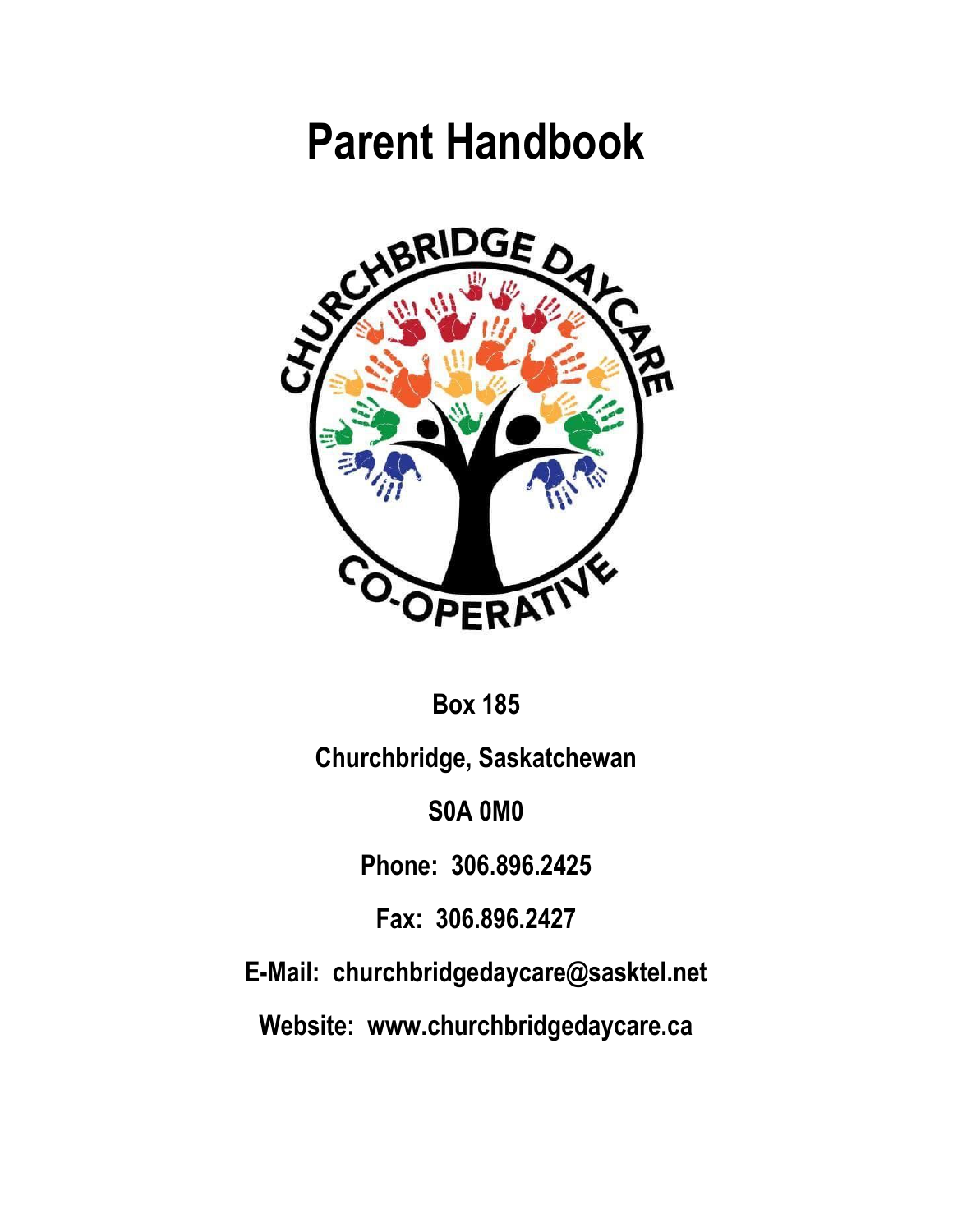# **Parent Handbook**



**Box 185**

**Churchbridge, Saskatchewan**

**S0A 0M0**

**Phone: 306.896.2425**

**Fax: 306.896.2427**

**E-Mail: churchbridgedaycare@sasktel.net**

**Website: www.churchbridgedaycare.ca**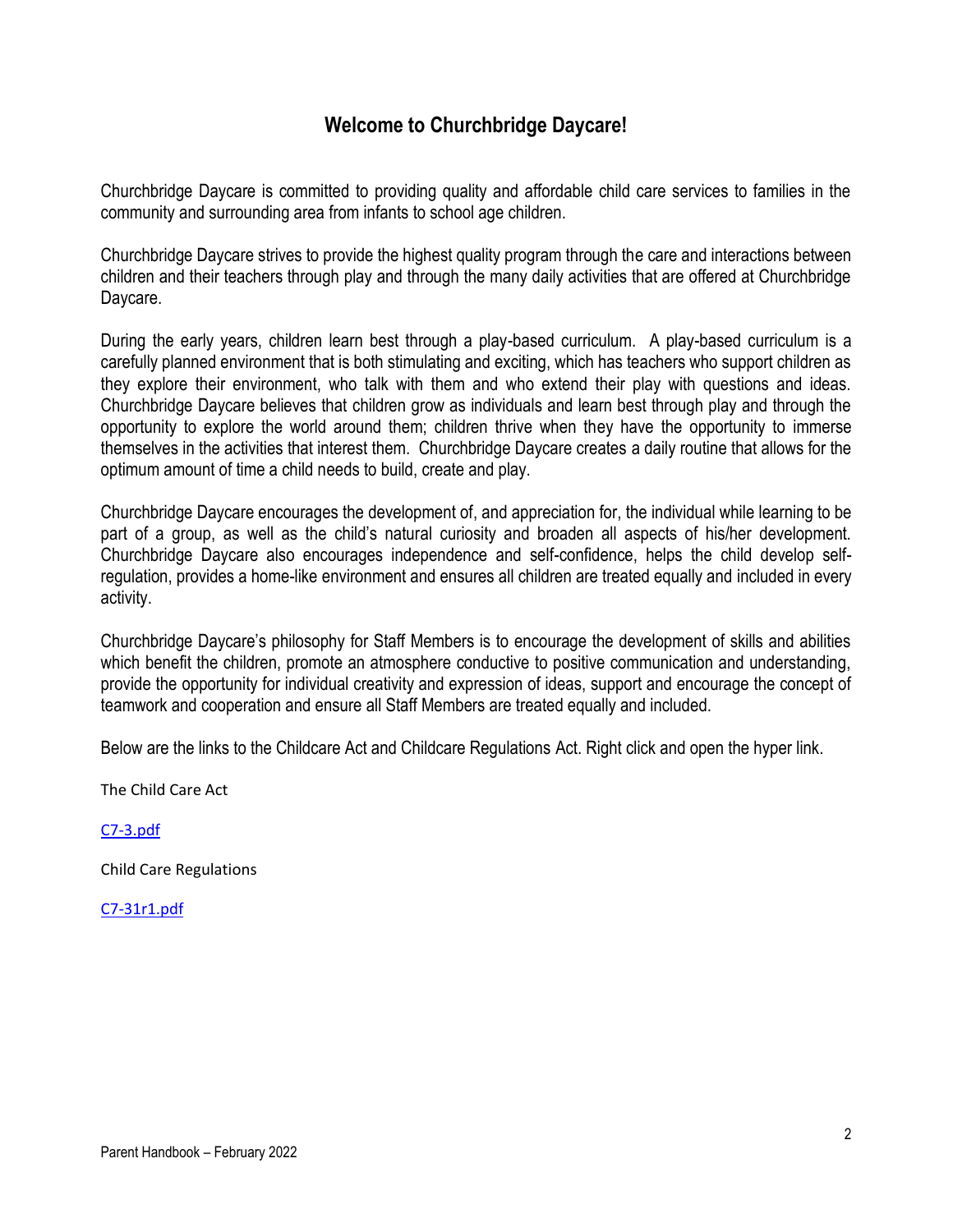# **Welcome to Churchbridge Daycare!**

Churchbridge Daycare is committed to providing quality and affordable child care services to families in the community and surrounding area from infants to school age children.

Churchbridge Daycare strives to provide the highest quality program through the care and interactions between children and their teachers through play and through the many daily activities that are offered at Churchbridge Daycare.

During the early years, children learn best through a play-based curriculum. A play-based curriculum is a carefully planned environment that is both stimulating and exciting, which has teachers who support children as they explore their environment, who talk with them and who extend their play with questions and ideas. Churchbridge Daycare believes that children grow as individuals and learn best through play and through the opportunity to explore the world around them; children thrive when they have the opportunity to immerse themselves in the activities that interest them. Churchbridge Daycare creates a daily routine that allows for the optimum amount of time a child needs to build, create and play.

Churchbridge Daycare encourages the development of, and appreciation for, the individual while learning to be part of a group, as well as the child's natural curiosity and broaden all aspects of his/her development. Churchbridge Daycare also encourages independence and self-confidence, helps the child develop selfregulation, provides a home-like environment and ensures all children are treated equally and included in every activity.

Churchbridge Daycare's philosophy for Staff Members is to encourage the development of skills and abilities which benefit the children, promote an atmosphere conductive to positive communication and understanding, provide the opportunity for individual creativity and expression of ideas, support and encourage the concept of teamwork and cooperation and ensure all Staff Members are treated equally and included.

Below are the links to the Childcare Act and Childcare Regulations Act. Right click and open the hyper link.

The Child Care Act

[C7-3.pdf](file:///C:/Users/Churchbridge%20Daycare/Desktop/C7-3.pdf)

Child Care Regulations

[C7-31r1.pdf](file:///C:/Users/Churchbridge%20Daycare/Desktop/C7-31r1.pdf)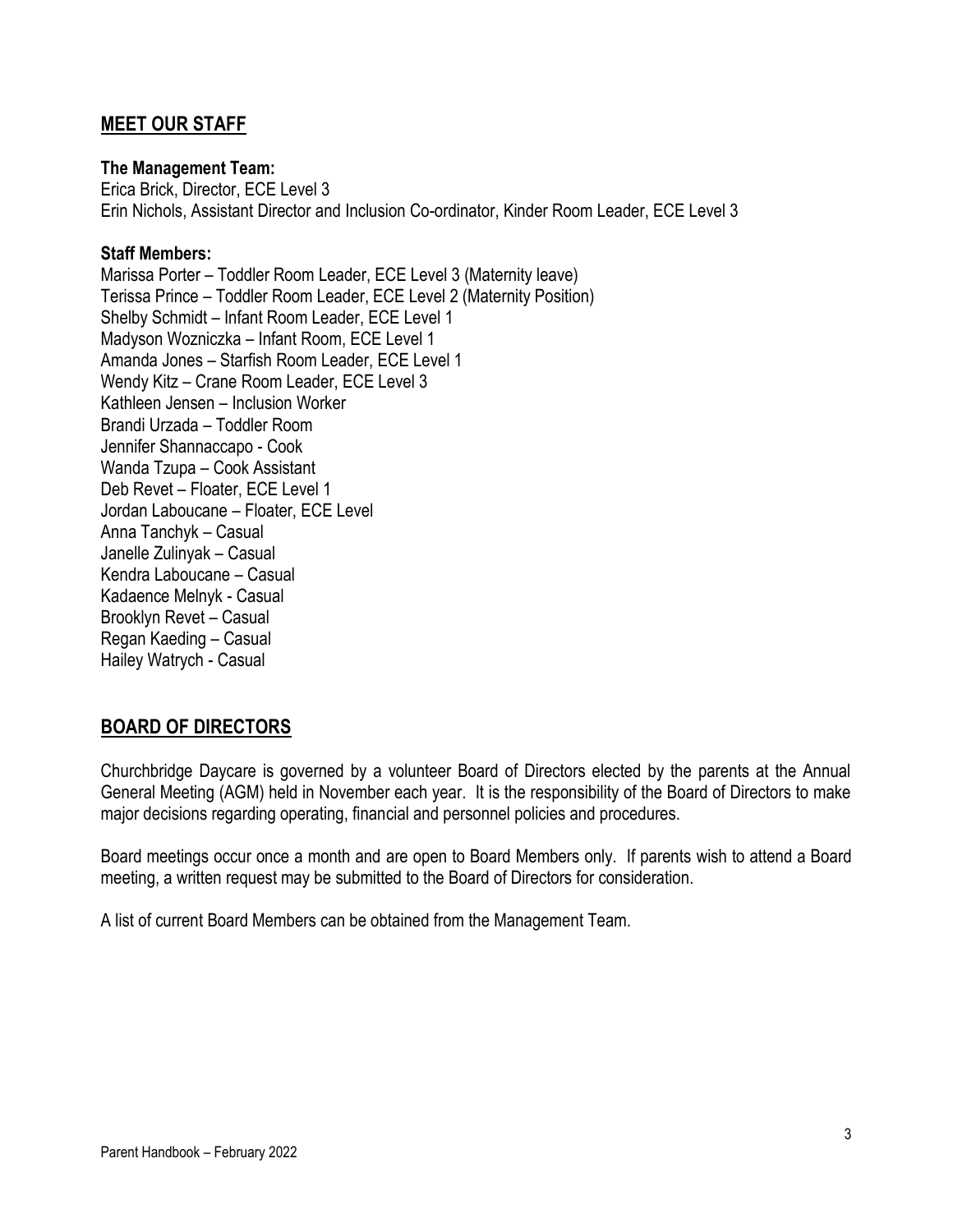# **MEET OUR STAFF**

#### **The Management Team:**

Erica Brick, Director, ECE Level 3 Erin Nichols, Assistant Director and Inclusion Co-ordinator, Kinder Room Leader, ECE Level 3

#### **Staff Members:**

Marissa Porter – Toddler Room Leader, ECE Level 3 (Maternity leave) Terissa Prince – Toddler Room Leader, ECE Level 2 (Maternity Position) Shelby Schmidt – Infant Room Leader, ECE Level 1 Madyson Wozniczka – Infant Room, ECE Level 1 Amanda Jones – Starfish Room Leader, ECE Level 1 Wendy Kitz – Crane Room Leader, ECE Level 3 Kathleen Jensen – Inclusion Worker Brandi Urzada – Toddler Room Jennifer Shannaccapo - Cook Wanda Tzupa – Cook Assistant Deb Revet – Floater, ECE Level 1 Jordan Laboucane – Floater, ECE Level Anna Tanchyk – Casual Janelle Zulinyak – Casual Kendra Laboucane – Casual Kadaence Melnyk - Casual Brooklyn Revet – Casual Regan Kaeding – Casual Hailey Watrych - Casual

#### **BOARD OF DIRECTORS**

Churchbridge Daycare is governed by a volunteer Board of Directors elected by the parents at the Annual General Meeting (AGM) held in November each year. It is the responsibility of the Board of Directors to make major decisions regarding operating, financial and personnel policies and procedures.

Board meetings occur once a month and are open to Board Members only. If parents wish to attend a Board meeting, a written request may be submitted to the Board of Directors for consideration.

A list of current Board Members can be obtained from the Management Team.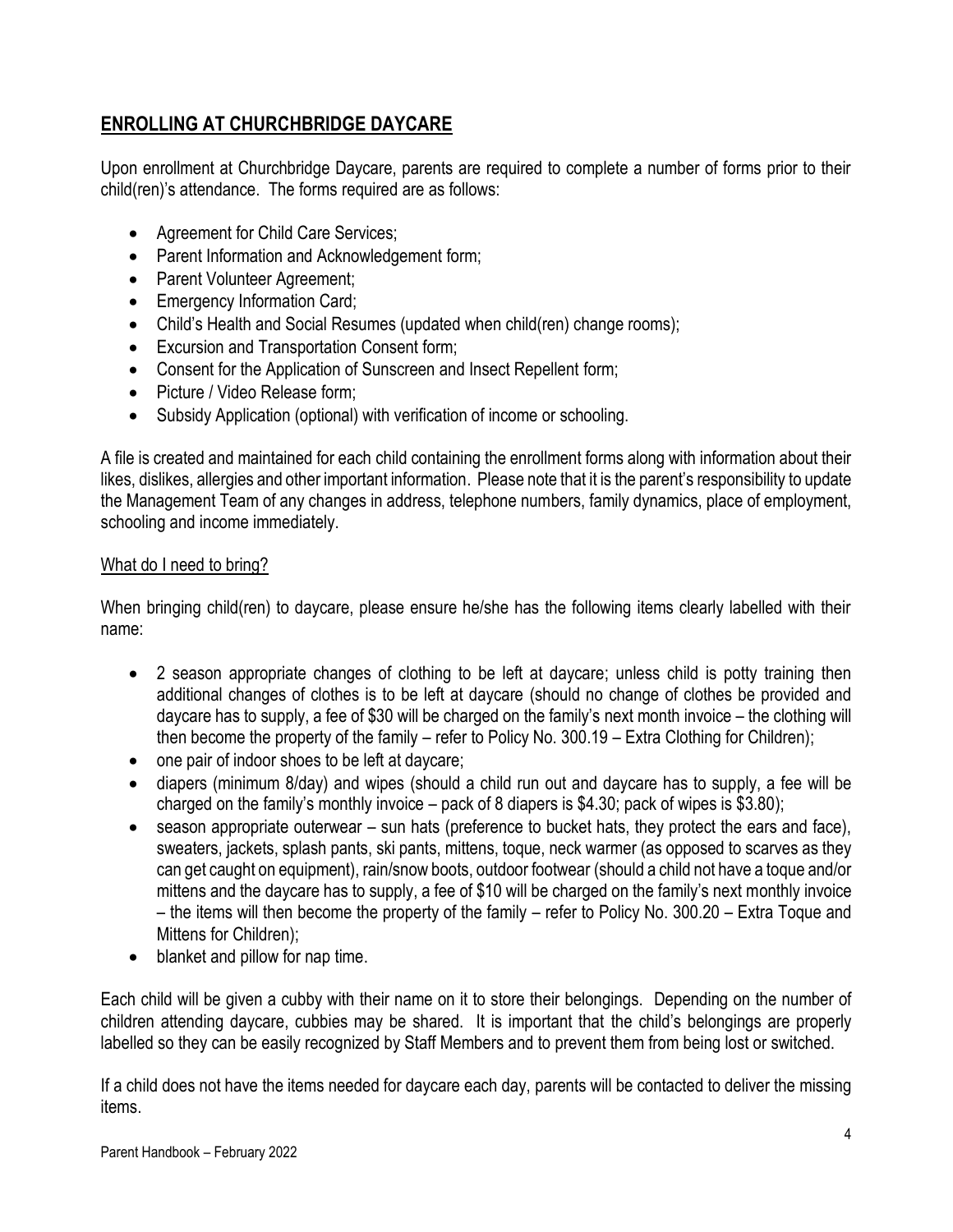# **ENROLLING AT CHURCHBRIDGE DAYCARE**

Upon enrollment at Churchbridge Daycare, parents are required to complete a number of forms prior to their child(ren)'s attendance. The forms required are as follows:

- Agreement for Child Care Services;
- Parent Information and Acknowledgement form;
- Parent Volunteer Agreement;
- Emergency Information Card;
- Child's Health and Social Resumes (updated when child(ren) change rooms);
- Excursion and Transportation Consent form;
- Consent for the Application of Sunscreen and Insect Repellent form;
- Picture / Video Release form;
- Subsidy Application (optional) with verification of income or schooling.

A file is created and maintained for each child containing the enrollment forms along with information about their likes, dislikes, allergies and other important information. Please note that it is the parent's responsibility to update the Management Team of any changes in address, telephone numbers, family dynamics, place of employment, schooling and income immediately.

#### What do I need to bring?

When bringing child(ren) to daycare, please ensure he/she has the following items clearly labelled with their name:

- 2 season appropriate changes of clothing to be left at daycare; unless child is potty training then additional changes of clothes is to be left at daycare (should no change of clothes be provided and daycare has to supply, a fee of \$30 will be charged on the family's next month invoice – the clothing will then become the property of the family – refer to Policy No. 300.19 – Extra Clothing for Children);
- one pair of indoor shoes to be left at daycare;
- diapers (minimum 8/day) and wipes (should a child run out and daycare has to supply, a fee will be charged on the family's monthly invoice – pack of 8 diapers is \$4.30; pack of wipes is \$3.80);
- season appropriate outerwear sun hats (preference to bucket hats, they protect the ears and face), sweaters, jackets, splash pants, ski pants, mittens, toque, neck warmer (as opposed to scarves as they can get caught on equipment), rain/snow boots, outdoor footwear (should a child not have a toque and/or mittens and the daycare has to supply, a fee of \$10 will be charged on the family's next monthly invoice – the items will then become the property of the family – refer to Policy No. 300.20 – Extra Toque and Mittens for Children);
- blanket and pillow for nap time.

Each child will be given a cubby with their name on it to store their belongings. Depending on the number of children attending daycare, cubbies may be shared. It is important that the child's belongings are properly labelled so they can be easily recognized by Staff Members and to prevent them from being lost or switched.

If a child does not have the items needed for daycare each day, parents will be contacted to deliver the missing items.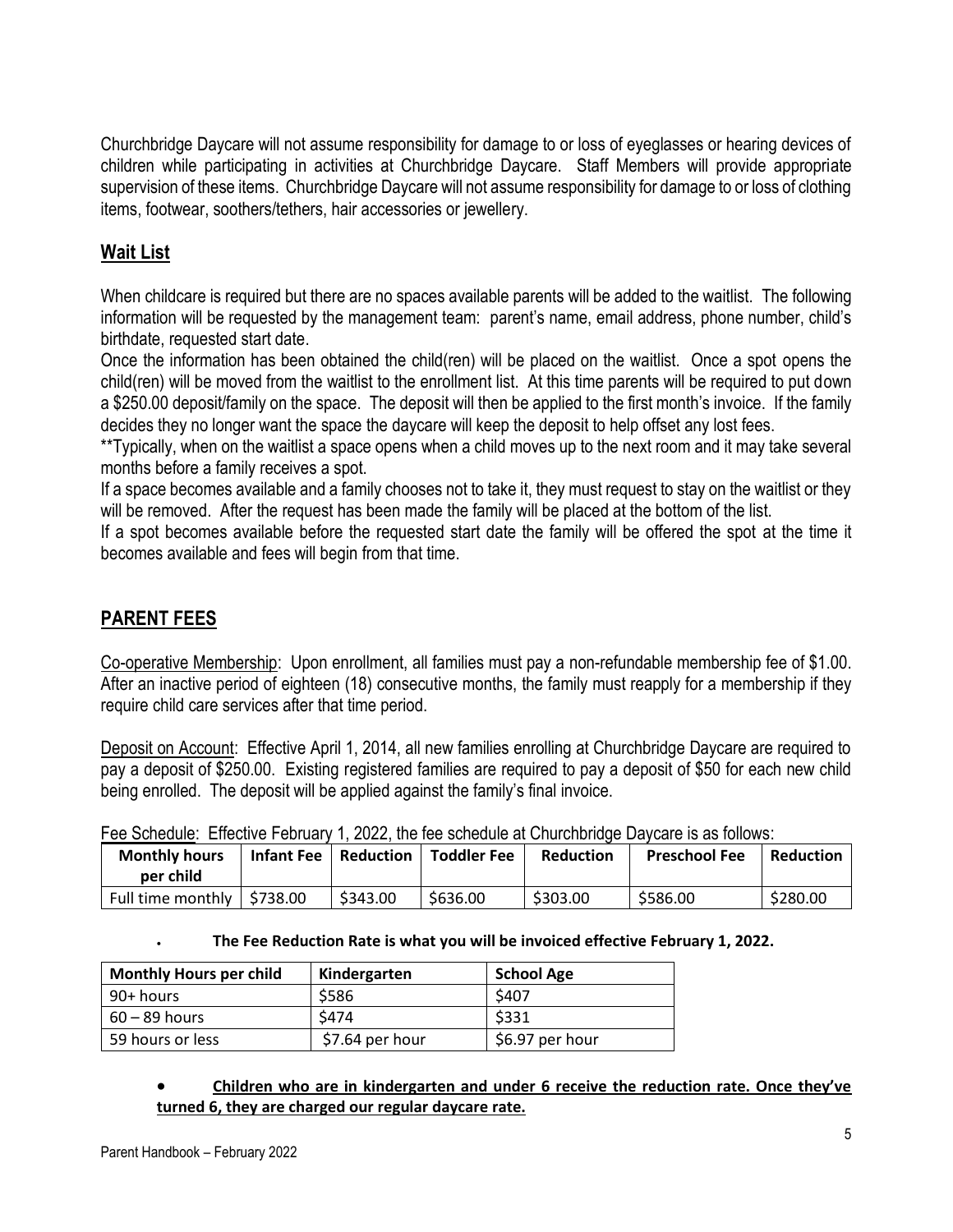Churchbridge Daycare will not assume responsibility for damage to or loss of eyeglasses or hearing devices of children while participating in activities at Churchbridge Daycare. Staff Members will provide appropriate supervision of these items. Churchbridge Daycare will not assume responsibility for damage to or loss of clothing items, footwear, soothers/tethers, hair accessories or jewellery.

# **Wait List**

When childcare is required but there are no spaces available parents will be added to the waitlist. The following information will be requested by the management team: parent's name, email address, phone number, child's birthdate, requested start date.

Once the information has been obtained the child(ren) will be placed on the waitlist. Once a spot opens the child(ren) will be moved from the waitlist to the enrollment list. At this time parents will be required to put down a \$250.00 deposit/family on the space. The deposit will then be applied to the first month's invoice. If the family decides they no longer want the space the daycare will keep the deposit to help offset any lost fees.

\*\*Typically, when on the waitlist a space opens when a child moves up to the next room and it may take several months before a family receives a spot.

If a space becomes available and a family chooses not to take it, they must request to stay on the waitlist or they will be removed. After the request has been made the family will be placed at the bottom of the list.

If a spot becomes available before the requested start date the family will be offered the spot at the time it becomes available and fees will begin from that time.

# **PARENT FEES**

Co-operative Membership: Upon enrollment, all families must pay a non-refundable membership fee of \$1.00. After an inactive period of eighteen (18) consecutive months, the family must reapply for a membership if they require child care services after that time period.

Deposit on Account: Effective April 1, 2014, all new families enrolling at Churchbridge Daycare are required to pay a deposit of \$250.00. Existing registered families are required to pay a deposit of \$50 for each new child being enrolled. The deposit will be applied against the family's final invoice.

|                                    | Fee Scriedule: Effective February 1, 2022, the lee scriedule at Churchbridge Daycare is as follows: |                    |           |                      |                  |
|------------------------------------|-----------------------------------------------------------------------------------------------------|--------------------|-----------|----------------------|------------------|
| <b>Monthly hours</b><br>per child  | Infant Fee   Reduction                                                                              | <b>Toddler Fee</b> | Reduction | <b>Preschool Fee</b> | <b>Reduction</b> |
| Full time monthly $\vert$ \$738.00 | \$343.00                                                                                            | \$636.00           | \$303.00  | \$586.00             | \$280.00         |

| Fee Schedule: Effective February 1, 2022, the fee schedule at Churchbridge Daycare is as follows: |  |  |  |  |
|---------------------------------------------------------------------------------------------------|--|--|--|--|
|                                                                                                   |  |  |  |  |

#### • **The Fee Reduction Rate is what you will be invoiced effective February 1, 2022.**

| <b>Monthly Hours per child</b> | Kindergarten     | <b>School Age</b> |
|--------------------------------|------------------|-------------------|
| 90+ hours                      | \$586            | \$407             |
| $60 - 89$ hours                | \$474            | \$331             |
| 59 hours or less               | $$7.64$ per hour | \$6.97 per hour   |

#### • **Children who are in kindergarten and under 6 receive the reduction rate. Once they've turned 6, they are charged our regular daycare rate.**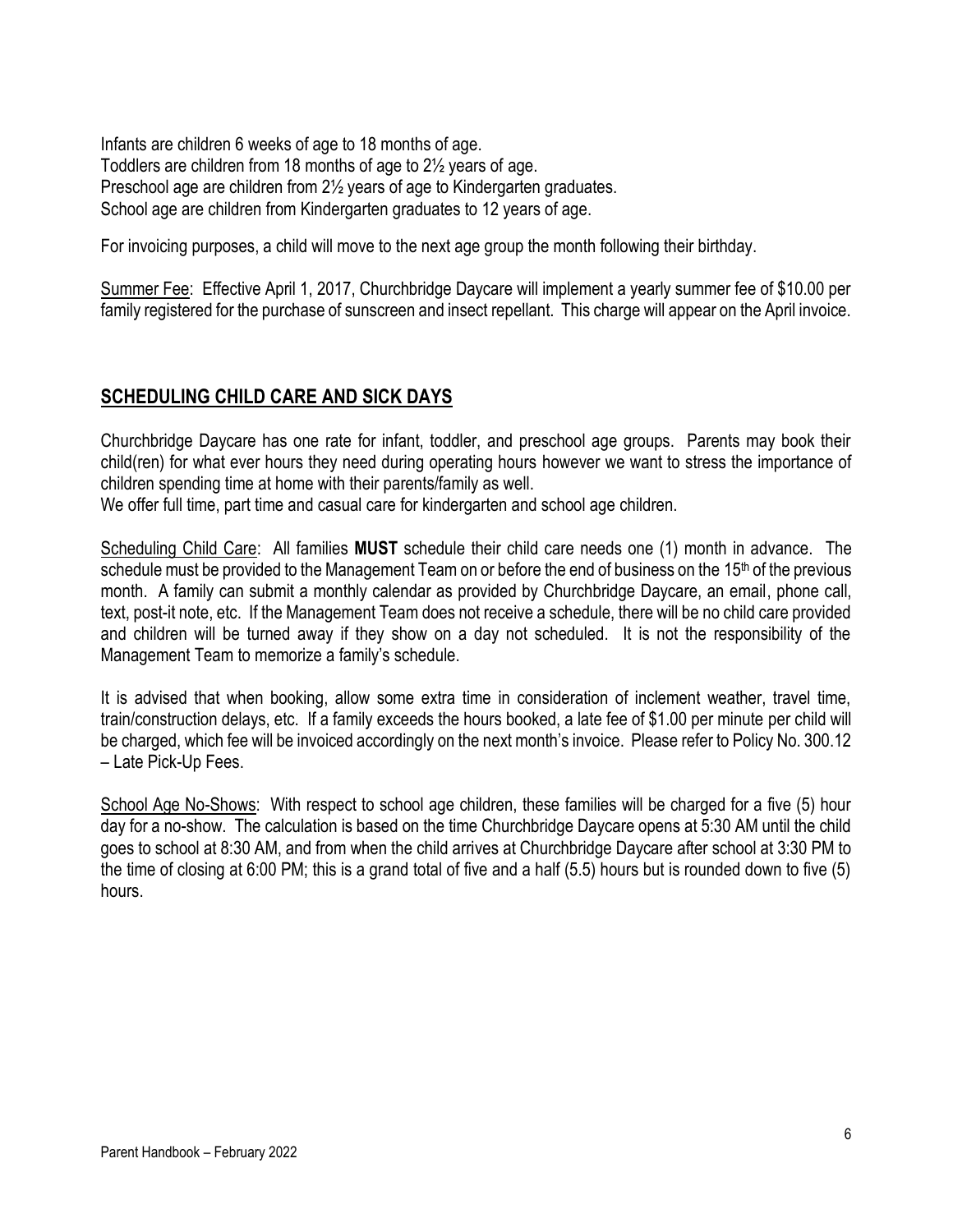Infants are children 6 weeks of age to 18 months of age. Toddlers are children from 18 months of age to 2½ years of age. Preschool age are children from 2½ years of age to Kindergarten graduates. School age are children from Kindergarten graduates to 12 years of age.

For invoicing purposes, a child will move to the next age group the month following their birthday.

Summer Fee: Effective April 1, 2017, Churchbridge Daycare will implement a yearly summer fee of \$10.00 per family registered for the purchase of sunscreen and insect repellant. This charge will appear on the April invoice.

# **SCHEDULING CHILD CARE AND SICK DAYS**

Churchbridge Daycare has one rate for infant, toddler, and preschool age groups. Parents may book their child(ren) for what ever hours they need during operating hours however we want to stress the importance of children spending time at home with their parents/family as well.

We offer full time, part time and casual care for kindergarten and school age children.

Scheduling Child Care: All families **MUST** schedule their child care needs one (1) month in advance. The schedule must be provided to the Management Team on or before the end of business on the 15<sup>th</sup> of the previous month. A family can submit a monthly calendar as provided by Churchbridge Daycare, an email, phone call, text, post-it note, etc. If the Management Team does not receive a schedule, there will be no child care provided and children will be turned away if they show on a day not scheduled. It is not the responsibility of the Management Team to memorize a family's schedule.

It is advised that when booking, allow some extra time in consideration of inclement weather, travel time, train/construction delays, etc. If a family exceeds the hours booked, a late fee of \$1.00 per minute per child will be charged, which fee will be invoiced accordingly on the next month's invoice. Please refer to Policy No. 300.12 – Late Pick-Up Fees.

School Age No-Shows: With respect to school age children, these families will be charged for a five (5) hour day for a no-show. The calculation is based on the time Churchbridge Daycare opens at 5:30 AM until the child goes to school at 8:30 AM, and from when the child arrives at Churchbridge Daycare after school at 3:30 PM to the time of closing at 6:00 PM; this is a grand total of five and a half (5.5) hours but is rounded down to five (5) hours.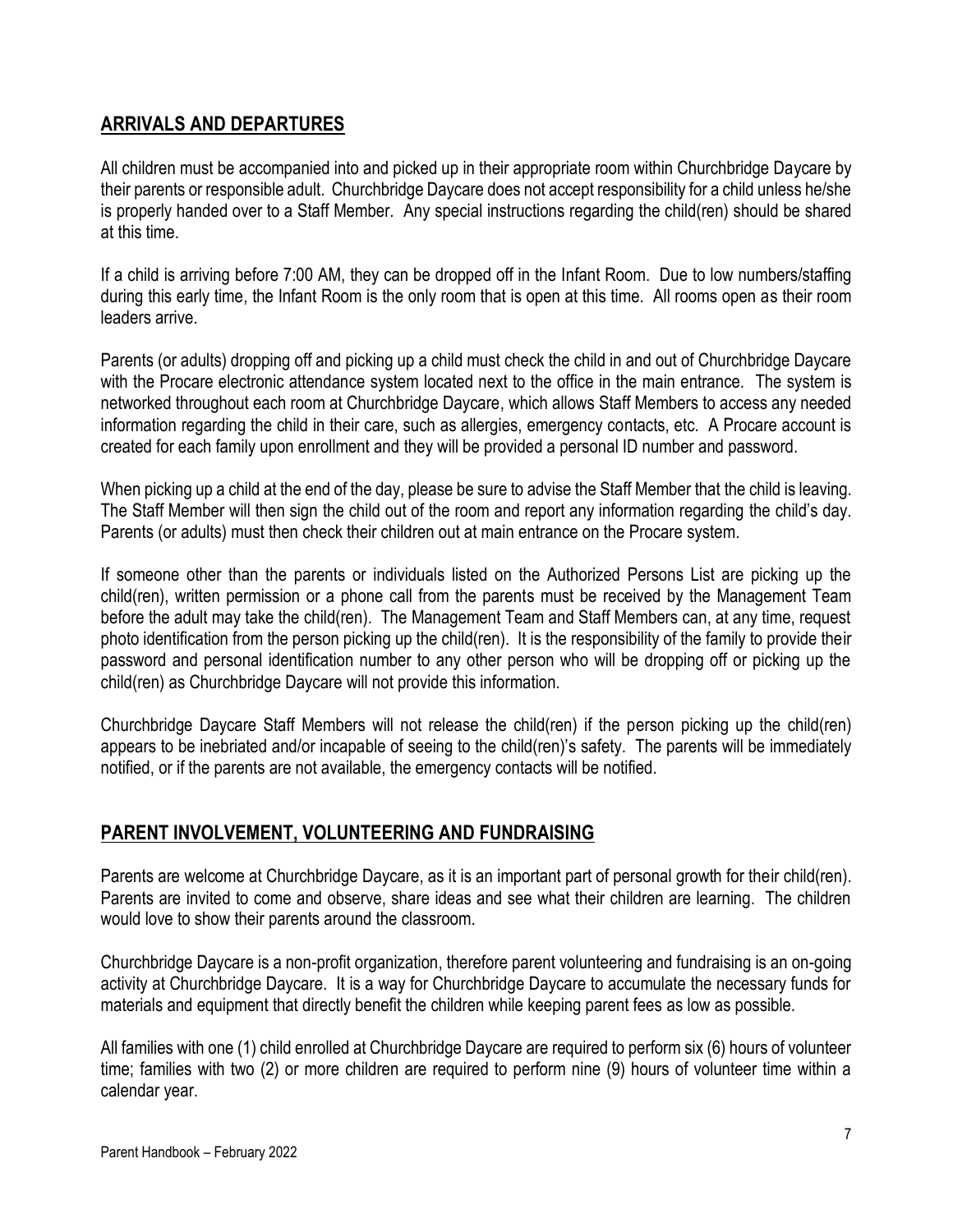# **ARRIVALS AND DEPARTURES**

All children must be accompanied into and picked up in their appropriate room within Churchbridge Daycare by their parents or responsible adult. Churchbridge Daycare does not accept responsibility for a child unless he/she is properly handed over to a Staff Member. Any special instructions regarding the child(ren) should be shared at this time.

If a child is arriving before 7:00 AM, they can be dropped off in the Infant Room. Due to low numbers/staffing during this early time, the Infant Room is the only room that is open at this time. All rooms open as their room leaders arrive.

Parents (or adults) dropping off and picking up a child must check the child in and out of Churchbridge Daycare with the Procare electronic attendance system located next to the office in the main entrance. The system is networked throughout each room at Churchbridge Daycare, which allows Staff Members to access any needed information regarding the child in their care, such as allergies, emergency contacts, etc. A Procare account is created for each family upon enrollment and they will be provided a personal ID number and password.

When picking up a child at the end of the day, please be sure to advise the Staff Member that the child is leaving. The Staff Member will then sign the child out of the room and report any information regarding the child's day. Parents (or adults) must then check their children out at main entrance on the Procare system.

If someone other than the parents or individuals listed on the Authorized Persons List are picking up the child(ren), written permission or a phone call from the parents must be received by the Management Team before the adult may take the child(ren). The Management Team and Staff Members can, at any time, request photo identification from the person picking up the child(ren). It is the responsibility of the family to provide their password and personal identification number to any other person who will be dropping off or picking up the child(ren) as Churchbridge Daycare will not provide this information.

Churchbridge Daycare Staff Members will not release the child(ren) if the person picking up the child(ren) appears to be inebriated and/or incapable of seeing to the child(ren)'s safety. The parents will be immediately notified, or if the parents are not available, the emergency contacts will be notified.

# **PARENT INVOLVEMENT, VOLUNTEERING AND FUNDRAISING**

Parents are welcome at Churchbridge Daycare, as it is an important part of personal growth for their child(ren). Parents are invited to come and observe, share ideas and see what their children are learning. The children would love to show their parents around the classroom.

Churchbridge Daycare is a non-profit organization, therefore parent volunteering and fundraising is an on-going activity at Churchbridge Daycare. It is a way for Churchbridge Daycare to accumulate the necessary funds for materials and equipment that directly benefit the children while keeping parent fees as low as possible.

All families with one (1) child enrolled at Churchbridge Daycare are required to perform six (6) hours of volunteer time; families with two (2) or more children are required to perform nine (9) hours of volunteer time within a calendar year.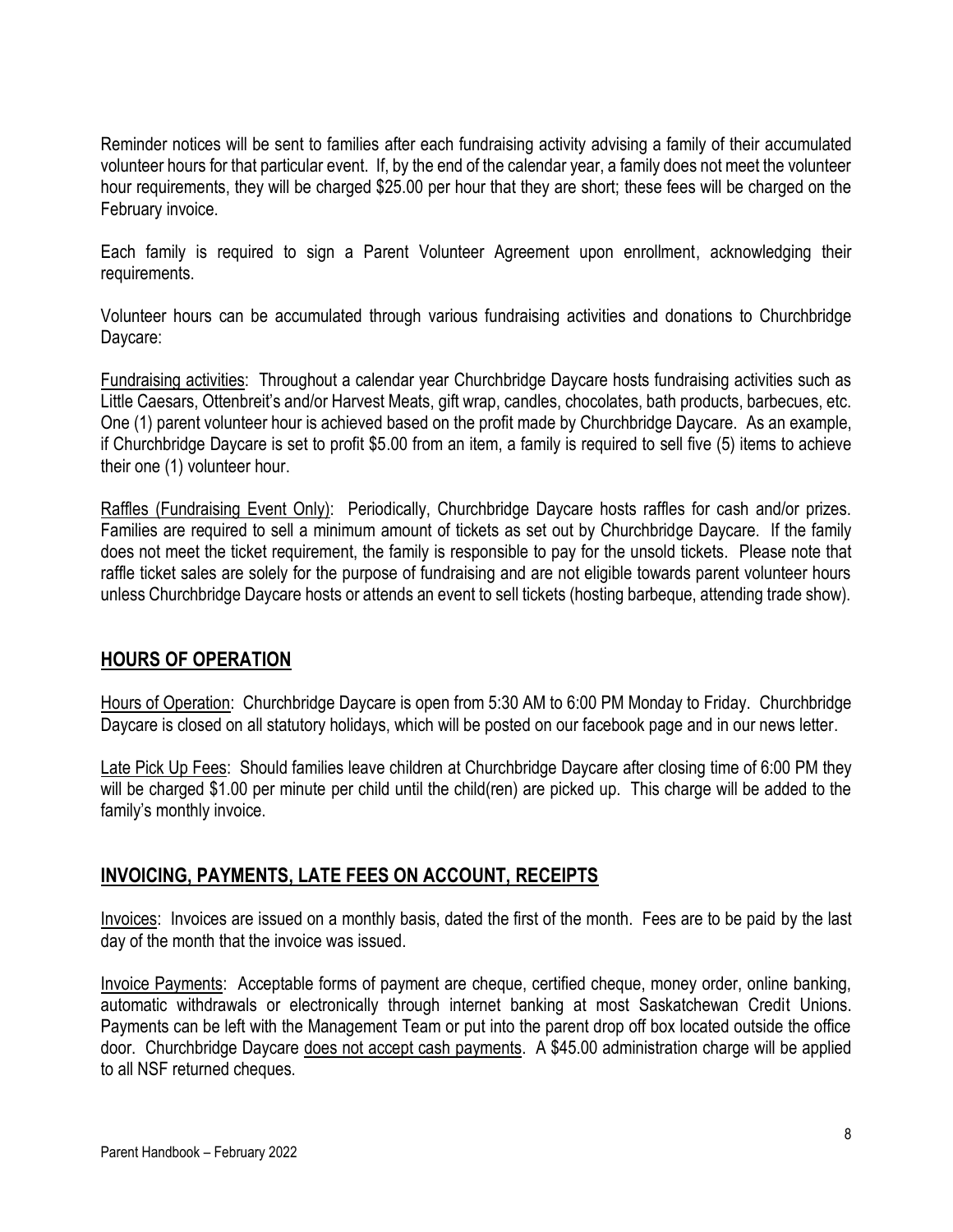Reminder notices will be sent to families after each fundraising activity advising a family of their accumulated volunteer hours for that particular event. If, by the end of the calendar year, a family does not meet the volunteer hour requirements, they will be charged \$25.00 per hour that they are short; these fees will be charged on the February invoice.

Each family is required to sign a Parent Volunteer Agreement upon enrollment, acknowledging their requirements.

Volunteer hours can be accumulated through various fundraising activities and donations to Churchbridge Daycare:

Fundraising activities: Throughout a calendar year Churchbridge Daycare hosts fundraising activities such as Little Caesars, Ottenbreit's and/or Harvest Meats, gift wrap, candles, chocolates, bath products, barbecues, etc. One (1) parent volunteer hour is achieved based on the profit made by Churchbridge Daycare. As an example, if Churchbridge Daycare is set to profit \$5.00 from an item, a family is required to sell five (5) items to achieve their one (1) volunteer hour.

Raffles (Fundraising Event Only): Periodically, Churchbridge Daycare hosts raffles for cash and/or prizes. Families are required to sell a minimum amount of tickets as set out by Churchbridge Daycare. If the family does not meet the ticket requirement, the family is responsible to pay for the unsold tickets. Please note that raffle ticket sales are solely for the purpose of fundraising and are not eligible towards parent volunteer hours unless Churchbridge Daycare hosts or attends an event to sell tickets (hosting barbeque, attending trade show).

# **HOURS OF OPERATION**

Hours of Operation: Churchbridge Daycare is open from 5:30 AM to 6:00 PM Monday to Friday. Churchbridge Daycare is closed on all statutory holidays, which will be posted on our facebook page and in our news letter.

Late Pick Up Fees: Should families leave children at Churchbridge Daycare after closing time of 6:00 PM they will be charged \$1.00 per minute per child until the child(ren) are picked up. This charge will be added to the family's monthly invoice.

# **INVOICING, PAYMENTS, LATE FEES ON ACCOUNT, RECEIPTS**

Invoices: Invoices are issued on a monthly basis, dated the first of the month. Fees are to be paid by the last day of the month that the invoice was issued.

Invoice Payments: Acceptable forms of payment are cheque, certified cheque, money order, online banking, automatic withdrawals or electronically through internet banking at most Saskatchewan Credit Unions. Payments can be left with the Management Team or put into the parent drop off box located outside the office door. Churchbridge Daycare does not accept cash payments. A \$45.00 administration charge will be applied to all NSF returned cheques.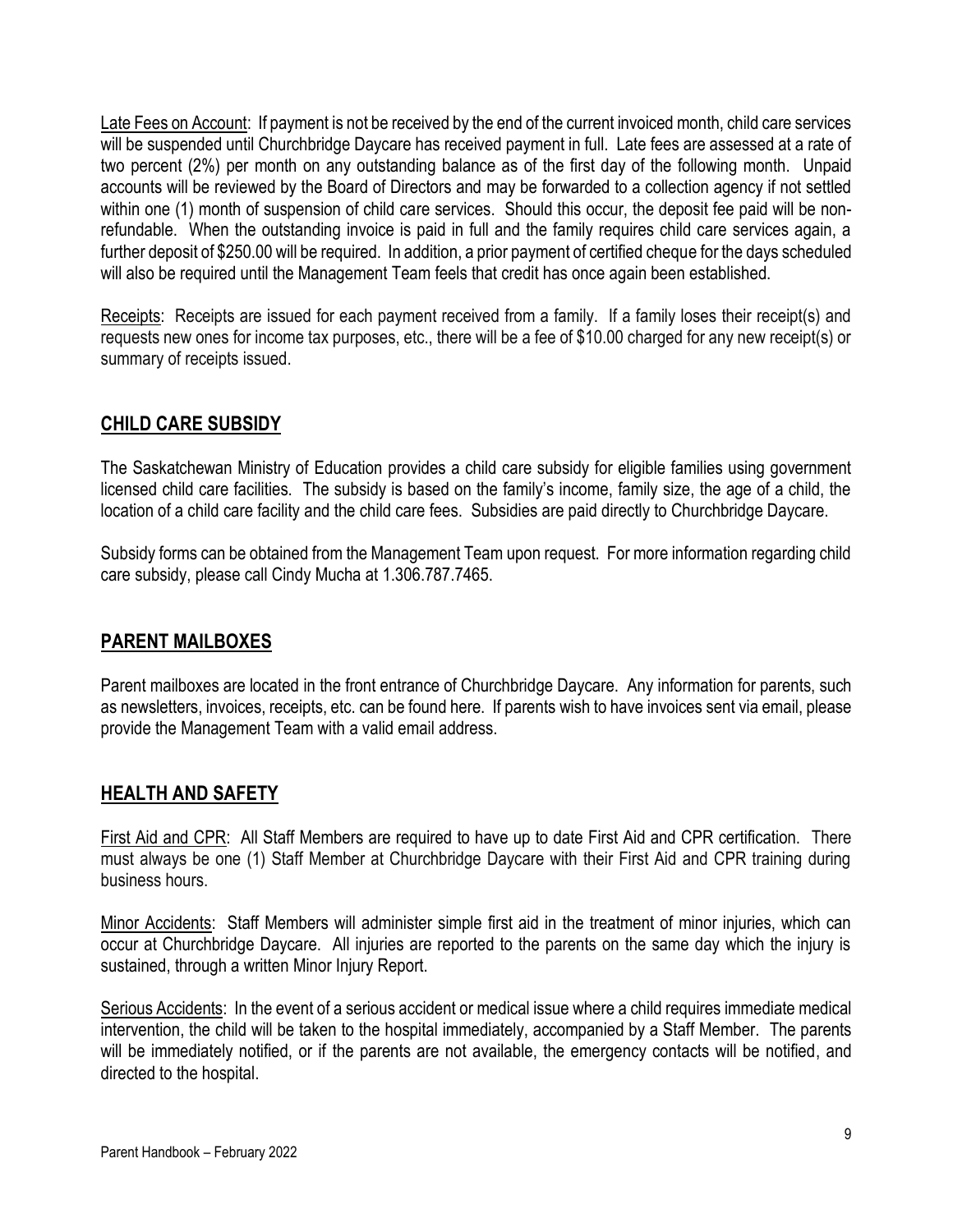Late Fees on Account: If payment is not be received by the end of the current invoiced month, child care services will be suspended until Churchbridge Daycare has received payment in full. Late fees are assessed at a rate of two percent (2%) per month on any outstanding balance as of the first day of the following month. Unpaid accounts will be reviewed by the Board of Directors and may be forwarded to a collection agency if not settled within one (1) month of suspension of child care services. Should this occur, the deposit fee paid will be nonrefundable. When the outstanding invoice is paid in full and the family requires child care services again, a further deposit of \$250.00 will be required. In addition, a prior payment of certified cheque for the days scheduled will also be required until the Management Team feels that credit has once again been established.

Receipts: Receipts are issued for each payment received from a family. If a family loses their receipt(s) and requests new ones for income tax purposes, etc., there will be a fee of \$10.00 charged for any new receipt(s) or summary of receipts issued.

# **CHILD CARE SUBSIDY**

The Saskatchewan Ministry of Education provides a child care subsidy for eligible families using government licensed child care facilities. The subsidy is based on the family's income, family size, the age of a child, the location of a child care facility and the child care fees. Subsidies are paid directly to Churchbridge Daycare.

Subsidy forms can be obtained from the Management Team upon request. For more information regarding child care subsidy, please call Cindy Mucha at 1.306.787.7465.

#### **PARENT MAILBOXES**

Parent mailboxes are located in the front entrance of Churchbridge Daycare. Any information for parents, such as newsletters, invoices, receipts, etc. can be found here. If parents wish to have invoices sent via email, please provide the Management Team with a valid email address.

# **HEALTH AND SAFETY**

First Aid and CPR: All Staff Members are required to have up to date First Aid and CPR certification. There must always be one (1) Staff Member at Churchbridge Daycare with their First Aid and CPR training during business hours.

Minor Accidents: Staff Members will administer simple first aid in the treatment of minor injuries, which can occur at Churchbridge Daycare. All injuries are reported to the parents on the same day which the injury is sustained, through a written Minor Injury Report.

Serious Accidents: In the event of a serious accident or medical issue where a child requires immediate medical intervention, the child will be taken to the hospital immediately, accompanied by a Staff Member. The parents will be immediately notified, or if the parents are not available, the emergency contacts will be notified, and directed to the hospital.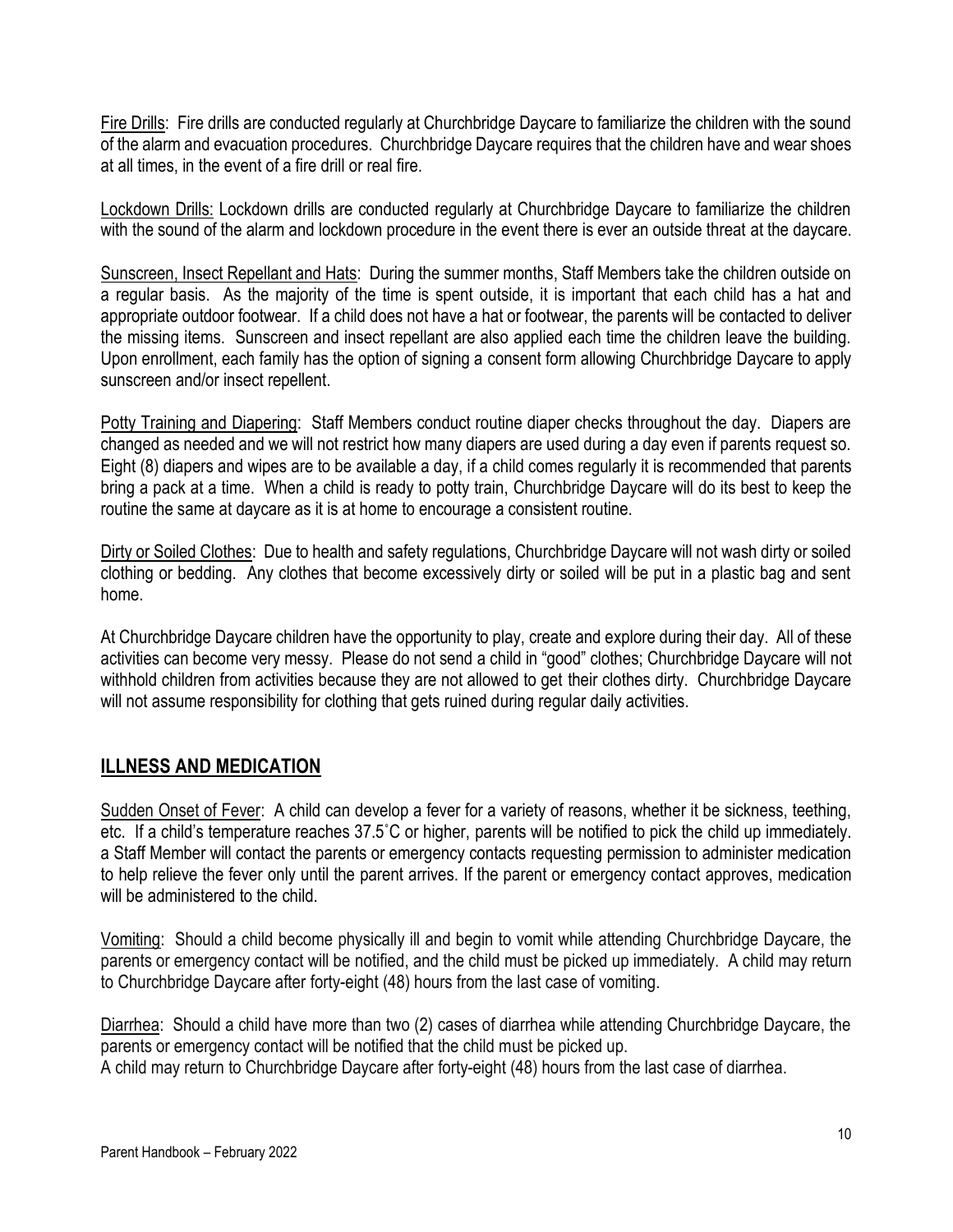Fire Drills: Fire drills are conducted regularly at Churchbridge Daycare to familiarize the children with the sound of the alarm and evacuation procedures. Churchbridge Daycare requires that the children have and wear shoes at all times, in the event of a fire drill or real fire.

Lockdown Drills: Lockdown drills are conducted regularly at Churchbridge Daycare to familiarize the children with the sound of the alarm and lockdown procedure in the event there is ever an outside threat at the daycare.

Sunscreen, Insect Repellant and Hats: During the summer months, Staff Members take the children outside on a regular basis. As the majority of the time is spent outside, it is important that each child has a hat and appropriate outdoor footwear. If a child does not have a hat or footwear, the parents will be contacted to deliver the missing items. Sunscreen and insect repellant are also applied each time the children leave the building. Upon enrollment, each family has the option of signing a consent form allowing Churchbridge Daycare to apply sunscreen and/or insect repellent.

Potty Training and Diapering: Staff Members conduct routine diaper checks throughout the day. Diapers are changed as needed and we will not restrict how many diapers are used during a day even if parents request so. Eight (8) diapers and wipes are to be available a day, if a child comes regularly it is recommended that parents bring a pack at a time. When a child is ready to potty train, Churchbridge Daycare will do its best to keep the routine the same at daycare as it is at home to encourage a consistent routine.

Dirty or Soiled Clothes: Due to health and safety regulations, Churchbridge Daycare will not wash dirty or soiled clothing or bedding. Any clothes that become excessively dirty or soiled will be put in a plastic bag and sent home.

At Churchbridge Daycare children have the opportunity to play, create and explore during their day. All of these activities can become very messy. Please do not send a child in "good" clothes; Churchbridge Daycare will not withhold children from activities because they are not allowed to get their clothes dirty. Churchbridge Daycare will not assume responsibility for clothing that gets ruined during regular daily activities.

# **ILLNESS AND MEDICATION**

Sudden Onset of Fever: A child can develop a fever for a variety of reasons, whether it be sickness, teething, etc. If a child's temperature reaches 37.5˚C or higher, parents will be notified to pick the child up immediately. a Staff Member will contact the parents or emergency contacts requesting permission to administer medication to help relieve the fever only until the parent arrives. If the parent or emergency contact approves, medication will be administered to the child.

Vomiting: Should a child become physically ill and begin to vomit while attending Churchbridge Daycare, the parents or emergency contact will be notified, and the child must be picked up immediately. A child may return to Churchbridge Daycare after forty-eight (48) hours from the last case of vomiting.

Diarrhea: Should a child have more than two (2) cases of diarrhea while attending Churchbridge Daycare, the parents or emergency contact will be notified that the child must be picked up.

A child may return to Churchbridge Daycare after forty-eight (48) hours from the last case of diarrhea.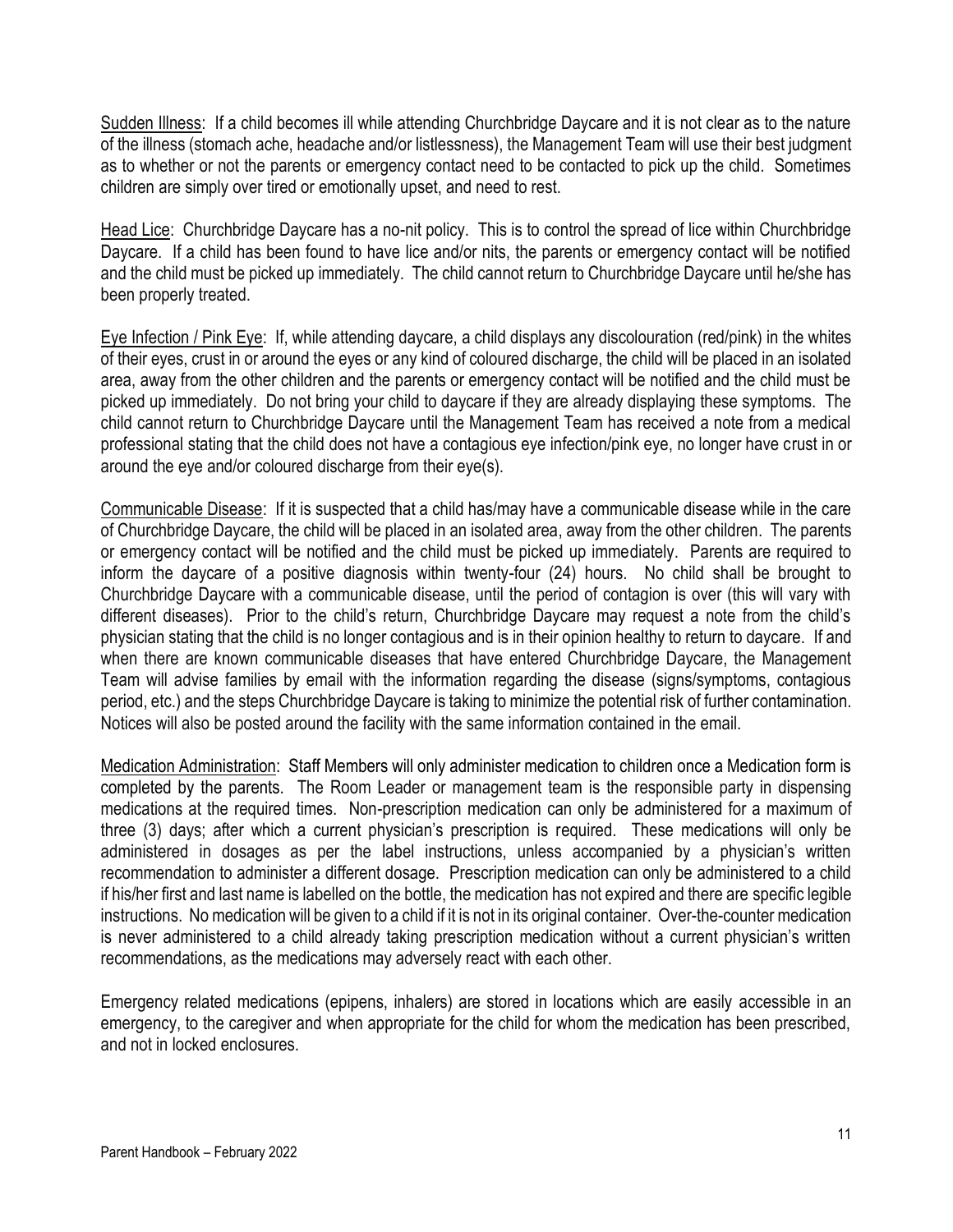Sudden Illness: If a child becomes ill while attending Churchbridge Daycare and it is not clear as to the nature of the illness (stomach ache, headache and/or listlessness), the Management Team will use their best judgment as to whether or not the parents or emergency contact need to be contacted to pick up the child. Sometimes children are simply over tired or emotionally upset, and need to rest.

Head Lice: Churchbridge Daycare has a no-nit policy. This is to control the spread of lice within Churchbridge Daycare. If a child has been found to have lice and/or nits, the parents or emergency contact will be notified and the child must be picked up immediately. The child cannot return to Churchbridge Daycare until he/she has been properly treated.

Eye Infection / Pink Eye: If, while attending daycare, a child displays any discolouration (red/pink) in the whites of their eyes, crust in or around the eyes or any kind of coloured discharge, the child will be placed in an isolated area, away from the other children and the parents or emergency contact will be notified and the child must be picked up immediately. Do not bring your child to daycare if they are already displaying these symptoms. The child cannot return to Churchbridge Daycare until the Management Team has received a note from a medical professional stating that the child does not have a contagious eye infection/pink eye, no longer have crust in or around the eye and/or coloured discharge from their eye(s).

Communicable Disease: If it is suspected that a child has/may have a communicable disease while in the care of Churchbridge Daycare, the child will be placed in an isolated area, away from the other children. The parents or emergency contact will be notified and the child must be picked up immediately. Parents are required to inform the daycare of a positive diagnosis within twenty-four (24) hours. No child shall be brought to Churchbridge Daycare with a communicable disease, until the period of contagion is over (this will vary with different diseases). Prior to the child's return, Churchbridge Daycare may request a note from the child's physician stating that the child is no longer contagious and is in their opinion healthy to return to daycare. If and when there are known communicable diseases that have entered Churchbridge Daycare, the Management Team will advise families by email with the information regarding the disease (signs/symptoms, contagious period, etc.) and the steps Churchbridge Daycare is taking to minimize the potential risk of further contamination. Notices will also be posted around the facility with the same information contained in the email.

Medication Administration: Staff Members will only administer medication to children once a Medication form is completed by the parents. The Room Leader or management team is the responsible party in dispensing medications at the required times. Non-prescription medication can only be administered for a maximum of three (3) days; after which a current physician's prescription is required. These medications will only be administered in dosages as per the label instructions, unless accompanied by a physician's written recommendation to administer a different dosage. Prescription medication can only be administered to a child if his/her first and last name is labelled on the bottle, the medication has not expired and there are specific legible instructions. No medication will be given to a child if it is not in its original container. Over-the-counter medication is never administered to a child already taking prescription medication without a current physician's written recommendations, as the medications may adversely react with each other.

Emergency related medications (epipens, inhalers) are stored in locations which are easily accessible in an emergency, to the caregiver and when appropriate for the child for whom the medication has been prescribed, and not in locked enclosures.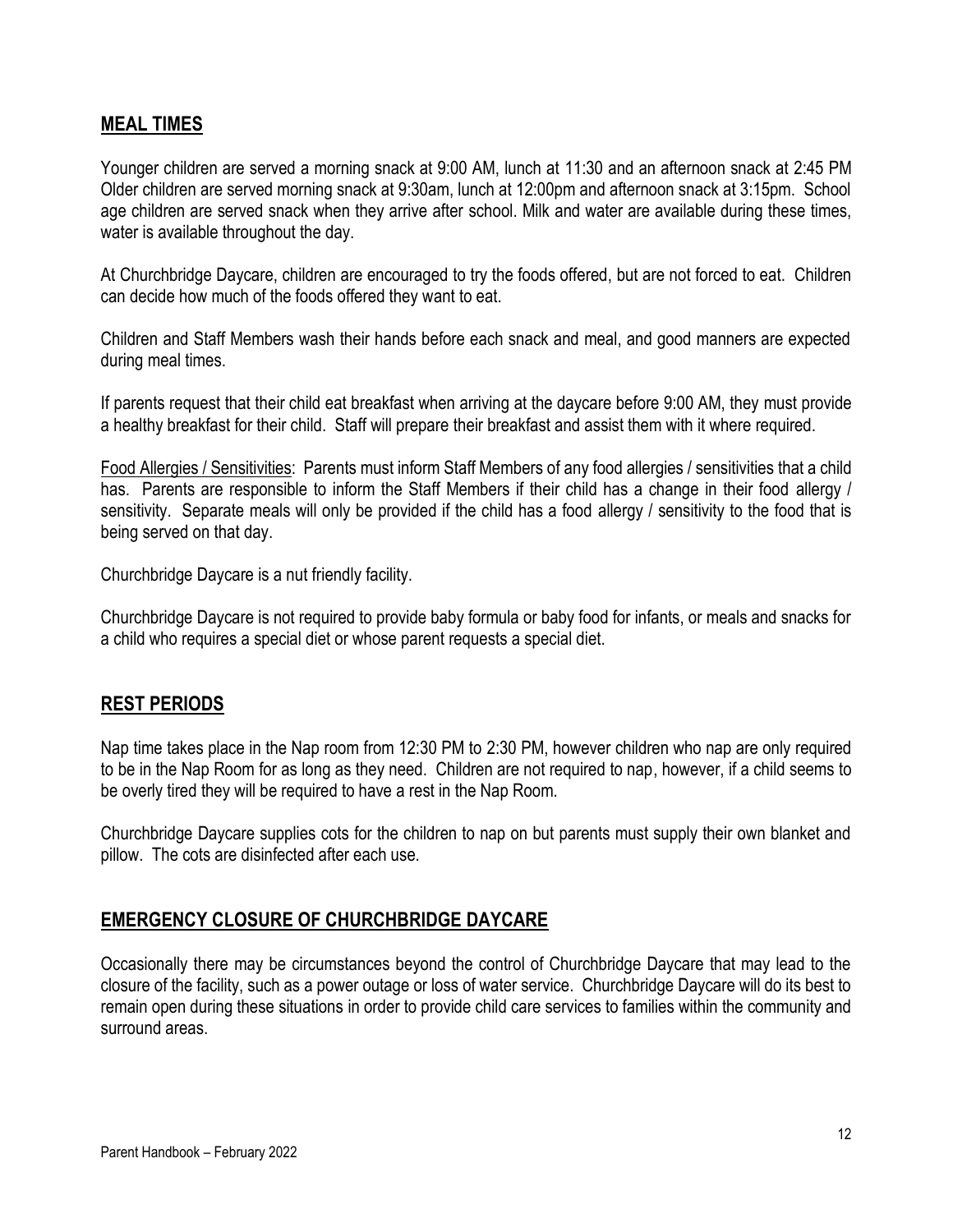#### **MEAL TIMES**

Younger children are served a morning snack at 9:00 AM, lunch at 11:30 and an afternoon snack at 2:45 PM Older children are served morning snack at 9:30am, lunch at 12:00pm and afternoon snack at 3:15pm. School age children are served snack when they arrive after school. Milk and water are available during these times, water is available throughout the day.

At Churchbridge Daycare, children are encouraged to try the foods offered, but are not forced to eat. Children can decide how much of the foods offered they want to eat.

Children and Staff Members wash their hands before each snack and meal, and good manners are expected during meal times.

If parents request that their child eat breakfast when arriving at the daycare before 9:00 AM, they must provide a healthy breakfast for their child. Staff will prepare their breakfast and assist them with it where required.

Food Allergies / Sensitivities: Parents must inform Staff Members of any food allergies / sensitivities that a child has. Parents are responsible to inform the Staff Members if their child has a change in their food allergy / sensitivity. Separate meals will only be provided if the child has a food allergy / sensitivity to the food that is being served on that day.

Churchbridge Daycare is a nut friendly facility.

Churchbridge Daycare is not required to provide baby formula or baby food for infants, or meals and snacks for a child who requires a special diet or whose parent requests a special diet.

#### **REST PERIODS**

Nap time takes place in the Nap room from 12:30 PM to 2:30 PM, however children who nap are only required to be in the Nap Room for as long as they need. Children are not required to nap, however, if a child seems to be overly tired they will be required to have a rest in the Nap Room.

Churchbridge Daycare supplies cots for the children to nap on but parents must supply their own blanket and pillow. The cots are disinfected after each use.

#### **EMERGENCY CLOSURE OF CHURCHBRIDGE DAYCARE**

Occasionally there may be circumstances beyond the control of Churchbridge Daycare that may lead to the closure of the facility, such as a power outage or loss of water service. Churchbridge Daycare will do its best to remain open during these situations in order to provide child care services to families within the community and surround areas.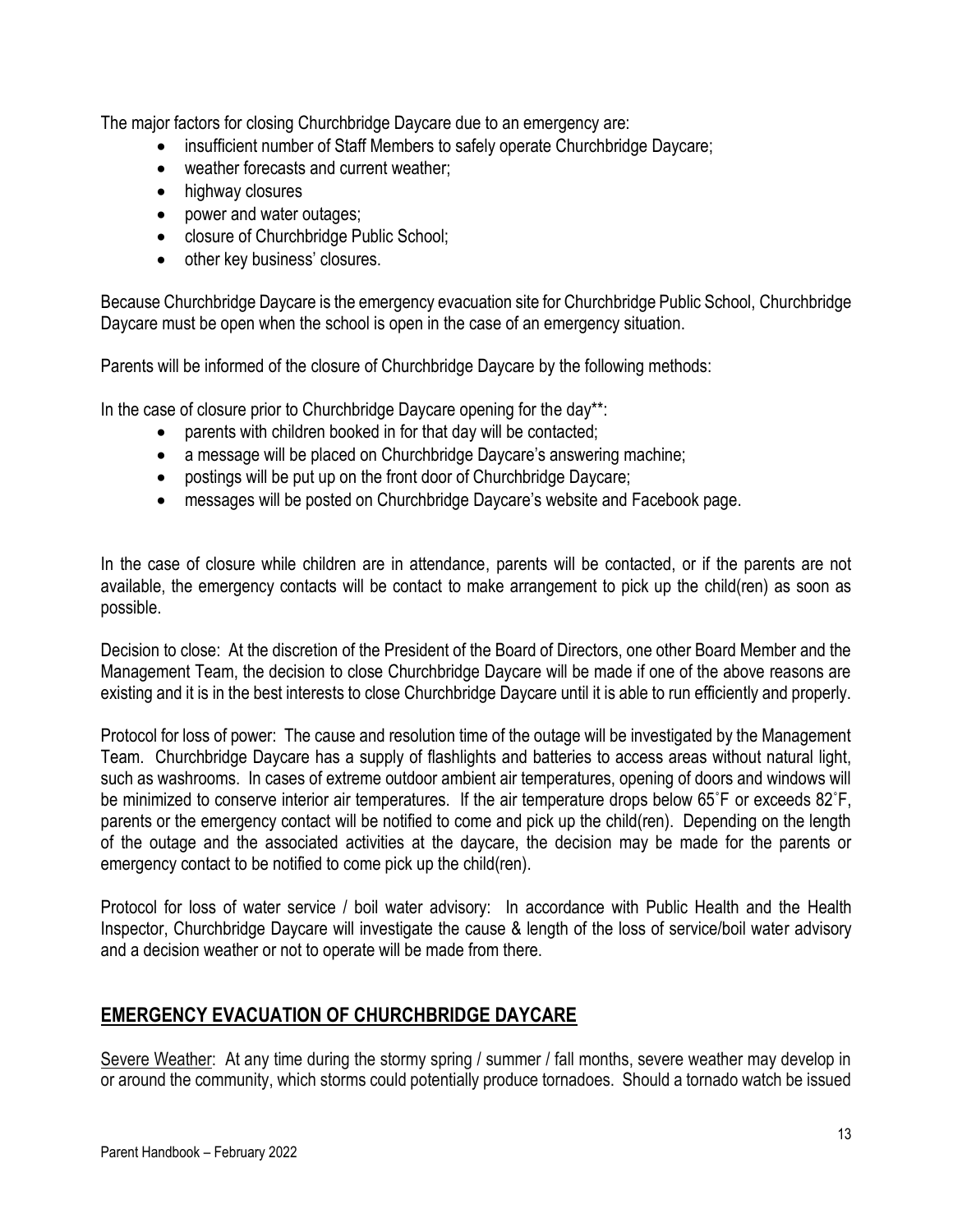The major factors for closing Churchbridge Daycare due to an emergency are:

- insufficient number of Staff Members to safely operate Churchbridge Daycare;
- weather forecasts and current weather;
- highway closures
- power and water outages;
- closure of Churchbridge Public School;
- other key business' closures.

Because Churchbridge Daycare is the emergency evacuation site for Churchbridge Public School, Churchbridge Daycare must be open when the school is open in the case of an emergency situation.

Parents will be informed of the closure of Churchbridge Daycare by the following methods:

In the case of closure prior to Churchbridge Daycare opening for the day\*\*:

- parents with children booked in for that day will be contacted;
- a message will be placed on Churchbridge Daycare's answering machine;
- postings will be put up on the front door of Churchbridge Daycare;
- messages will be posted on Churchbridge Daycare's website and Facebook page.

In the case of closure while children are in attendance, parents will be contacted, or if the parents are not available, the emergency contacts will be contact to make arrangement to pick up the child(ren) as soon as possible.

Decision to close: At the discretion of the President of the Board of Directors, one other Board Member and the Management Team, the decision to close Churchbridge Daycare will be made if one of the above reasons are existing and it is in the best interests to close Churchbridge Daycare until it is able to run efficiently and properly.

Protocol for loss of power: The cause and resolution time of the outage will be investigated by the Management Team. Churchbridge Daycare has a supply of flashlights and batteries to access areas without natural light, such as washrooms. In cases of extreme outdoor ambient air temperatures, opening of doors and windows will be minimized to conserve interior air temperatures. If the air temperature drops below 65˚F or exceeds 82˚F, parents or the emergency contact will be notified to come and pick up the child(ren). Depending on the length of the outage and the associated activities at the daycare, the decision may be made for the parents or emergency contact to be notified to come pick up the child(ren).

Protocol for loss of water service / boil water advisory: In accordance with Public Health and the Health Inspector, Churchbridge Daycare will investigate the cause & length of the loss of service/boil water advisory and a decision weather or not to operate will be made from there.

# **EMERGENCY EVACUATION OF CHURCHBRIDGE DAYCARE**

Severe Weather: At any time during the stormy spring / summer / fall months, severe weather may develop in or around the community, which storms could potentially produce tornadoes. Should a tornado watch be issued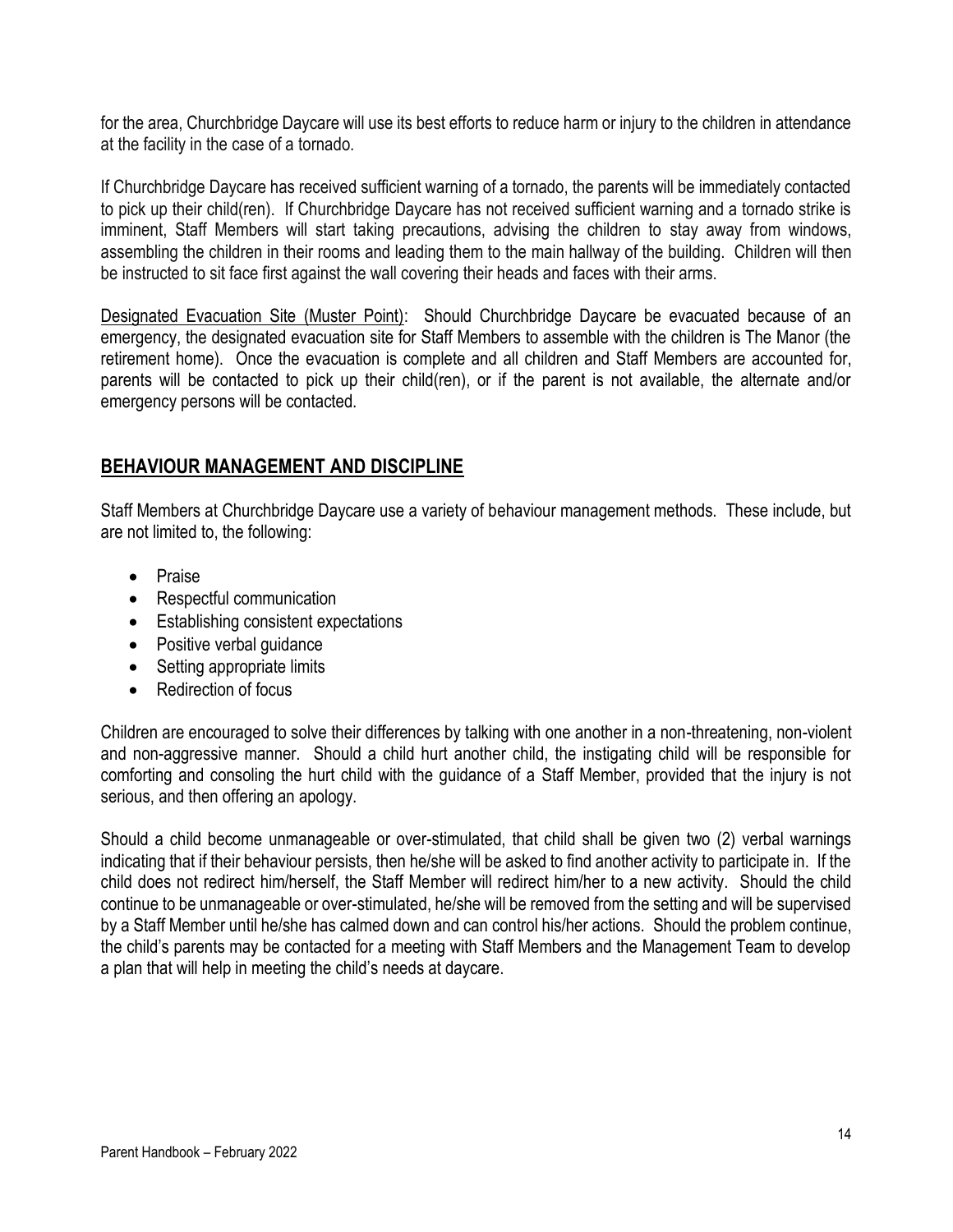for the area, Churchbridge Daycare will use its best efforts to reduce harm or injury to the children in attendance at the facility in the case of a tornado.

If Churchbridge Daycare has received sufficient warning of a tornado, the parents will be immediately contacted to pick up their child(ren). If Churchbridge Daycare has not received sufficient warning and a tornado strike is imminent, Staff Members will start taking precautions, advising the children to stay away from windows, assembling the children in their rooms and leading them to the main hallway of the building. Children will then be instructed to sit face first against the wall covering their heads and faces with their arms.

Designated Evacuation Site (Muster Point): Should Churchbridge Daycare be evacuated because of an emergency, the designated evacuation site for Staff Members to assemble with the children is The Manor (the retirement home). Once the evacuation is complete and all children and Staff Members are accounted for, parents will be contacted to pick up their child(ren), or if the parent is not available, the alternate and/or emergency persons will be contacted.

# **BEHAVIOUR MANAGEMENT AND DISCIPLINE**

Staff Members at Churchbridge Daycare use a variety of behaviour management methods. These include, but are not limited to, the following:

- Praise
- Respectful communication
- Establishing consistent expectations
- Positive verbal guidance
- Setting appropriate limits
- Redirection of focus

Children are encouraged to solve their differences by talking with one another in a non-threatening, non-violent and non-aggressive manner. Should a child hurt another child, the instigating child will be responsible for comforting and consoling the hurt child with the guidance of a Staff Member, provided that the injury is not serious, and then offering an apology.

Should a child become unmanageable or over-stimulated, that child shall be given two (2) verbal warnings indicating that if their behaviour persists, then he/she will be asked to find another activity to participate in. If the child does not redirect him/herself, the Staff Member will redirect him/her to a new activity. Should the child continue to be unmanageable or over-stimulated, he/she will be removed from the setting and will be supervised by a Staff Member until he/she has calmed down and can control his/her actions. Should the problem continue, the child's parents may be contacted for a meeting with Staff Members and the Management Team to develop a plan that will help in meeting the child's needs at daycare.